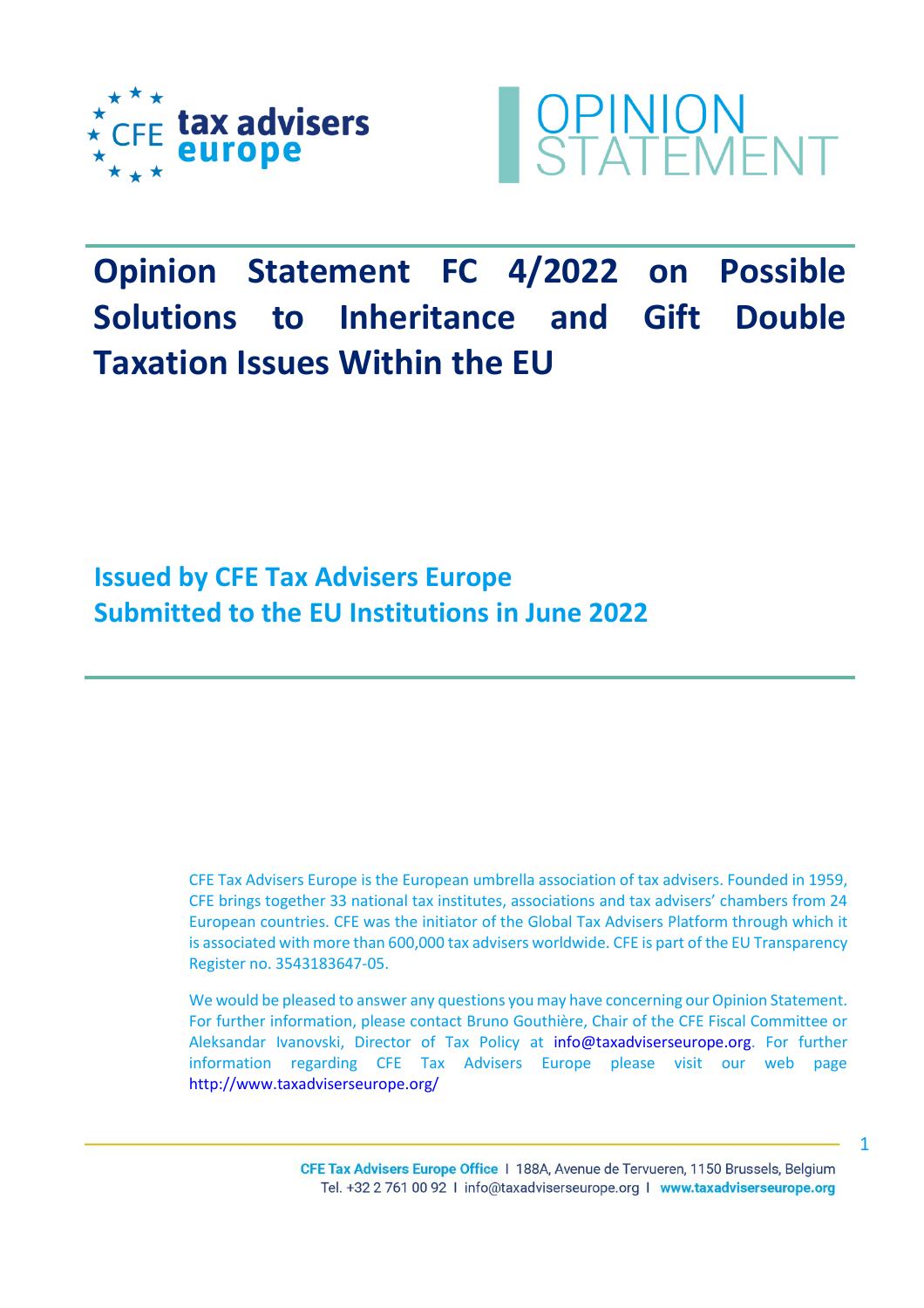



# **Opinion Statement FC 4/2022 on Possible Solutions to Inheritance and Gift Double Taxation Issues Within the EU**

**Issued by CFE Tax Advisers Europe Submitted to the EU Institutions in June 2022**

> CFE Tax Advisers Europe is the European umbrella association of tax advisers. Founded in 1959, CFE brings together 33 national tax institutes, associations and tax advisers' chambers from 24 European countries. CFE was the initiator of the Global Tax Advisers Platform through which it is associated with more than 600,000 tax advisers worldwide. CFE is part of the EU Transparency Register no. 3543183647‐05.

> We would be pleased to answer any questions you may have concerning our Opinion Statement. For further information, please contact Bruno Gouthière, Chair of the CFE Fiscal Committee or Aleksandar Ivanovski, Director of Tax Policy at [info@taxadviserseurope.org.](mailto:info@taxadviserseurope.org) For further information regarding CFE Tax Advisers Europe please visit our web page <http://www.taxadviserseurope.org/>

> > CFE Tax Advisers Europe Office | 188A, Avenue de Tervueren, 1150 Brussels, Belgium Tel. +32 2 761 00 92 | info@taxadviserseurope.org | www.taxadviserseurope.org

1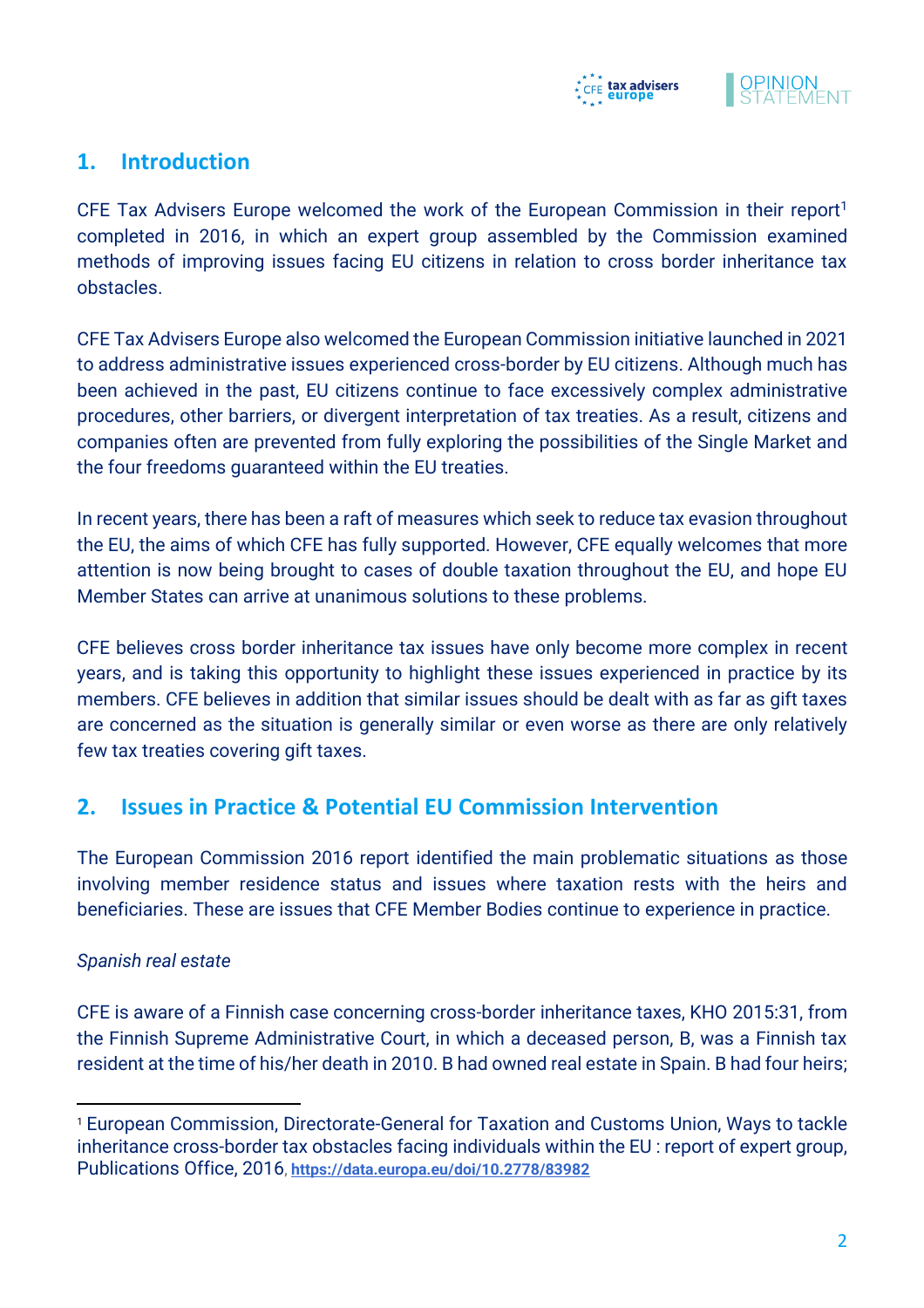



## **1. Introduction**

CFE Tax Advisers Europe welcomed the work of the European Commission in their report<sup>1</sup> completed in 2016, in which an expert group assembled by the Commission examined methods of improving issues facing EU citizens in relation to cross border inheritance tax obstacles.

CFE Tax Advisers Europe also welcomed the European Commission initiative launched in 2021 to address administrative issues experienced cross-border by EU citizens. Although much has been achieved in the past, EU citizens continue to face excessively complex administrative procedures, other barriers, or divergent interpretation of tax treaties. As a result, citizens and companies often are prevented from fully exploring the possibilities of the Single Market and the four freedoms guaranteed within the EU treaties.

In recent years, there has been a raft of measures which seek to reduce tax evasion throughout the EU, the aims of which CFE has fully supported. However, CFE equally welcomes that more attention is now being brought to cases of double taxation throughout the EU, and hope EU Member States can arrive at unanimous solutions to these problems.

CFE believes cross border inheritance tax issues have only become more complex in recent years, and is taking this opportunity to highlight these issues experienced in practice by its members. CFE believes in addition that similar issues should be dealt with as far as gift taxes are concerned as the situation is generally similar or even worse as there are only relatively few tax treaties covering gift taxes.

## **2. Issues in Practice & Potential EU Commission Intervention**

The European Commission 2016 report identified the main problematic situations as those involving member residence status and issues where taxation rests with the heirs and beneficiaries. These are issues that CFE Member Bodies continue to experience in practice.

#### *Spanish real estate*

CFE is aware of a Finnish case concerning cross-border inheritance taxes, KHO 2015:31, from the Finnish Supreme Administrative Court, in which a deceased person, B, was a Finnish tax resident at the time of his/her death in 2010. B had owned real estate in Spain. B had four heirs;

<sup>1</sup> European Commission, Directorate-General for Taxation and Customs Union, Ways to tackle inheritance cross-border tax obstacles facing individuals within the EU : report of expert group, Publications Office, 2016, **<https://data.europa.eu/doi/10.2778/83982>**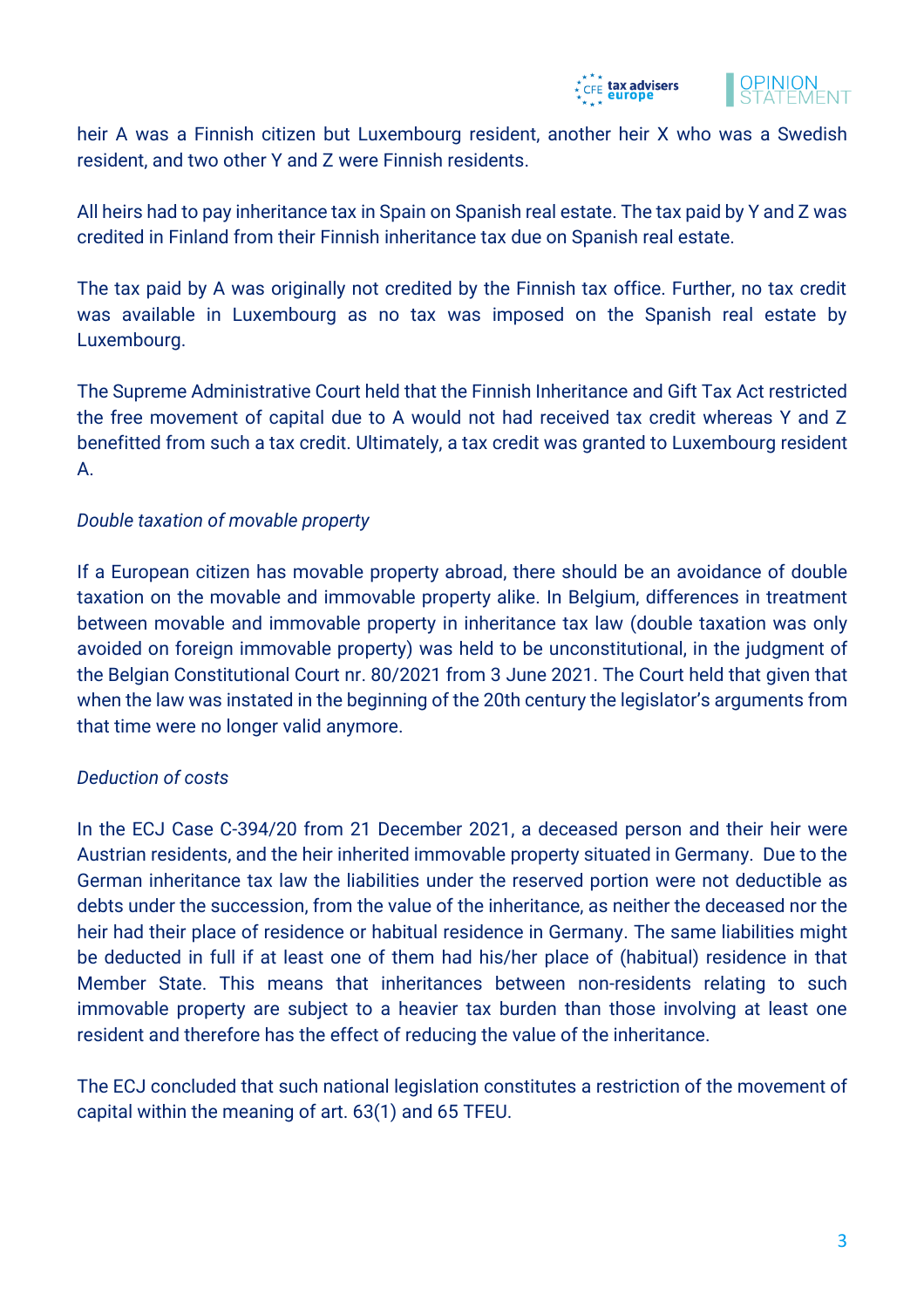



heir A was a Finnish citizen but Luxembourg resident, another heir X who was a Swedish resident, and two other Y and Z were Finnish residents.

All heirs had to pay inheritance tax in Spain on Spanish real estate. The tax paid by Y and Z was credited in Finland from their Finnish inheritance tax due on Spanish real estate.

The tax paid by A was originally not credited by the Finnish tax office. Further, no tax credit was available in Luxembourg as no tax was imposed on the Spanish real estate by Luxembourg.

The Supreme Administrative Court held that the Finnish Inheritance and Gift Tax Act restricted the free movement of capital due to A would not had received tax credit whereas Y and Z benefitted from such a tax credit. Ultimately, a tax credit was granted to Luxembourg resident A.

#### *Double taxation of movable property*

If a European citizen has movable property abroad, there should be an avoidance of double taxation on the movable and immovable property alike. In Belgium, differences in treatment between movable and immovable property in inheritance tax law (double taxation was only avoided on foreign immovable property) was held to be unconstitutional, in the judgment of the Belgian Constitutional Court nr. 80/2021 from 3 June 2021. The Court held that given that when the law was instated in the beginning of the 20th century the legislator's arguments from that time were no longer valid anymore.

#### *Deduction of costs*

In the ECJ Case C-394/20 from 21 December 2021, a deceased person and their heir were Austrian residents, and the heir inherited immovable property situated in Germany. Due to the German inheritance tax law the liabilities under the reserved portion were not deductible as debts under the succession, from the value of the inheritance, as neither the deceased nor the heir had their place of residence or habitual residence in Germany. The same liabilities might be deducted in full if at least one of them had his/her place of (habitual) residence in that Member State. This means that inheritances between non-residents relating to such immovable property are subject to a heavier tax burden than those involving at least one resident and therefore has the effect of reducing the value of the inheritance.

The ECJ concluded that such national legislation constitutes a restriction of the movement of capital within the meaning of art. 63(1) and 65 TFEU.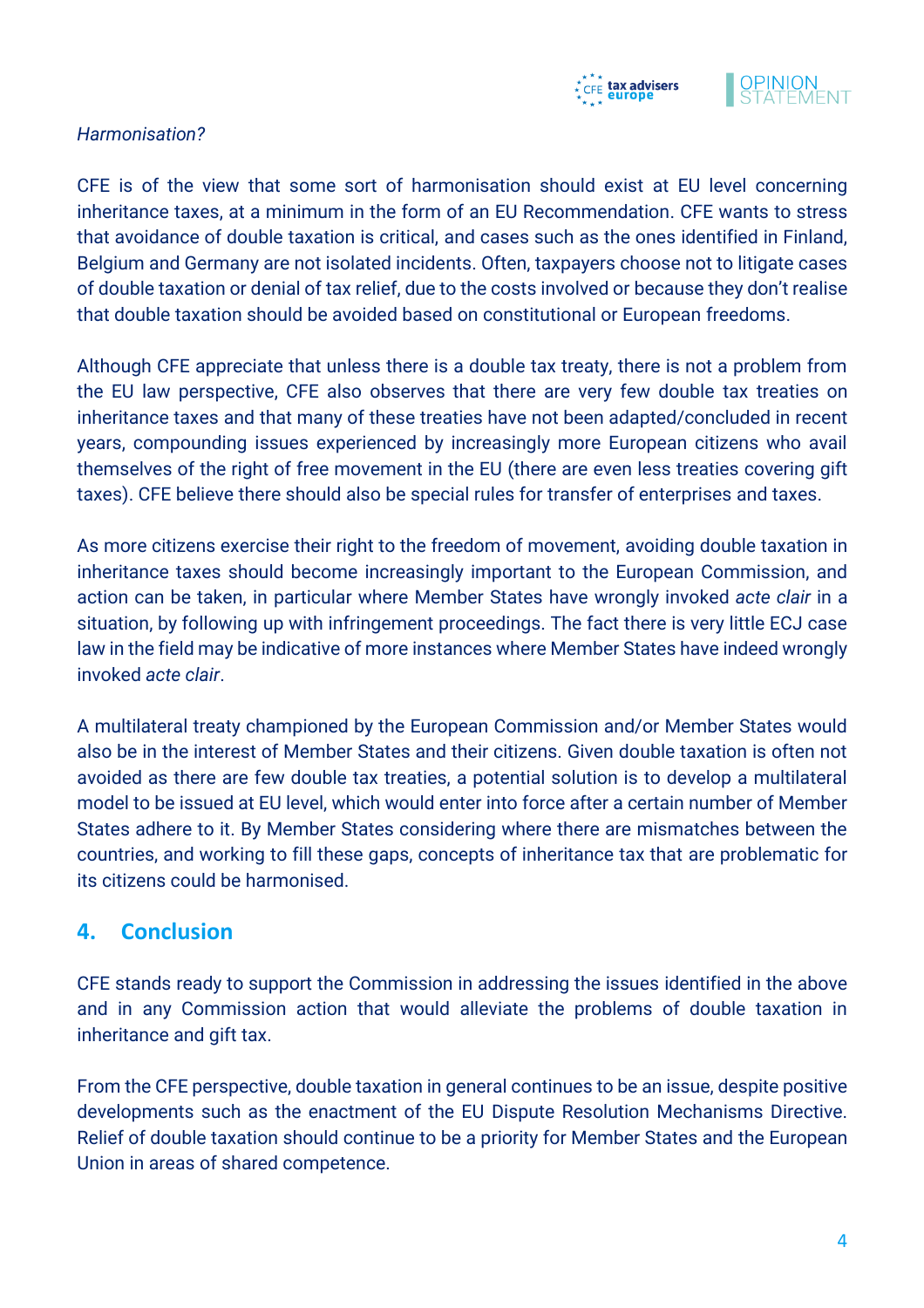



#### *Harmonisation?*

CFE is of the view that some sort of harmonisation should exist at EU level concerning inheritance taxes, at a minimum in the form of an EU Recommendation. CFE wants to stress that avoidance of double taxation is critical, and cases such as the ones identified in Finland, Belgium and Germany are not isolated incidents. Often, taxpayers choose not to litigate cases of double taxation or denial of tax relief, due to the costs involved or because they don't realise that double taxation should be avoided based on constitutional or European freedoms.

Although CFE appreciate that unless there is a double tax treaty, there is not a problem from the EU law perspective, CFE also observes that there are very few double tax treaties on inheritance taxes and that many of these treaties have not been adapted/concluded in recent years, compounding issues experienced by increasingly more European citizens who avail themselves of the right of free movement in the EU (there are even less treaties covering gift taxes). CFE believe there should also be special rules for transfer of enterprises and taxes.

As more citizens exercise their right to the freedom of movement, avoiding double taxation in inheritance taxes should become increasingly important to the European Commission, and action can be taken, in particular where Member States have wrongly invoked *acte clair* in a situation, by following up with infringement proceedings. The fact there is very little ECJ case law in the field may be indicative of more instances where Member States have indeed wrongly invoked *acte clair*.

A multilateral treaty championed by the European Commission and/or Member States would also be in the interest of Member States and their citizens. Given double taxation is often not avoided as there are few double tax treaties, a potential solution is to develop a multilateral model to be issued at EU level, which would enter into force after a certain number of Member States adhere to it. By Member States considering where there are mismatches between the countries, and working to fill these gaps, concepts of inheritance tax that are problematic for its citizens could be harmonised.

### **4. Conclusion**

CFE stands ready to support the Commission in addressing the issues identified in the above and in any Commission action that would alleviate the problems of double taxation in inheritance and gift tax.

From the CFE perspective, double taxation in general continues to be an issue, despite positive developments such as the enactment of the EU Dispute Resolution Mechanisms Directive. Relief of double taxation should continue to be a priority for Member States and the European Union in areas of shared competence.